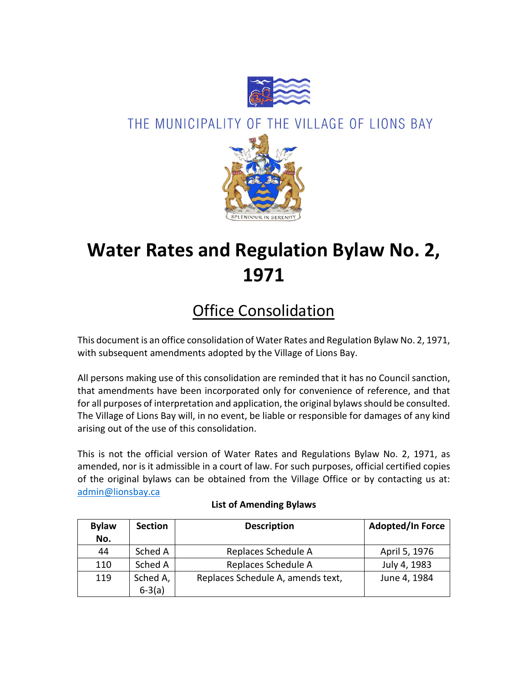

# THE MUNICIPALITY OF THE VILLAGE OF LIONS BAY



# **Water Rates and Regulation Bylaw No. 2, 1971**

# Office Consolidation

This document is an office consolidation of Water Rates and Regulation Bylaw No. 2, 1971, with subsequent amendments adopted by the Village of Lions Bay.

All persons making use of this consolidation are reminded that it has no Council sanction, that amendments have been incorporated only for convenience of reference, and that for all purposes of interpretation and application, the original bylaws should be consulted. The Village of Lions Bay will, in no event, be liable or responsible for damages of any kind arising out of the use of this consolidation.

This is not the official version of Water Rates and Regulations Bylaw No. 2, 1971, as amended, nor is it admissible in a court of law. For such purposes, official certified copies of the original bylaws can be obtained from the Village Office or by contacting us at: [admin@lionsbay.ca](mailto:admin@lionsbay.ca)

| <b>Bylaw</b> | <b>Section</b> | <b>Description</b>                | <b>Adopted/In Force</b> |
|--------------|----------------|-----------------------------------|-------------------------|
| No.          |                |                                   |                         |
| 44           | Sched A        | Replaces Schedule A               | April 5, 1976           |
| 110          | Sched A        | Replaces Schedule A               | July 4, 1983            |
| 119          | Sched A,       | Replaces Schedule A, amends text, | June 4, 1984            |
|              | $6-3(a)$       |                                   |                         |

## **List of Amending Bylaws**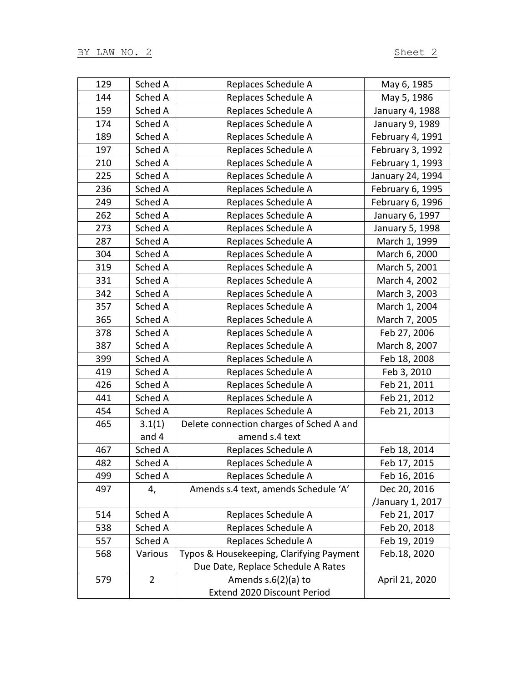| 129 | Sched A        | Replaces Schedule A                      | May 6, 1985      |
|-----|----------------|------------------------------------------|------------------|
| 144 | Sched A        | Replaces Schedule A                      | May 5, 1986      |
| 159 | Sched A        | Replaces Schedule A                      | January 4, 1988  |
| 174 | Sched A        | Replaces Schedule A                      | January 9, 1989  |
| 189 | Sched A        | Replaces Schedule A                      | February 4, 1991 |
| 197 | Sched A        | Replaces Schedule A                      | February 3, 1992 |
| 210 | Sched A        | Replaces Schedule A                      | February 1, 1993 |
| 225 | Sched A        | Replaces Schedule A                      | January 24, 1994 |
| 236 | Sched A        | Replaces Schedule A                      | February 6, 1995 |
| 249 | Sched A        | Replaces Schedule A                      | February 6, 1996 |
| 262 | Sched A        | Replaces Schedule A                      | January 6, 1997  |
| 273 | Sched A        | Replaces Schedule A                      | January 5, 1998  |
| 287 | Sched A        | Replaces Schedule A                      | March 1, 1999    |
| 304 | Sched A        | Replaces Schedule A                      | March 6, 2000    |
| 319 | Sched A        | Replaces Schedule A                      | March 5, 2001    |
| 331 | Sched A        | Replaces Schedule A                      | March 4, 2002    |
| 342 | Sched A        | Replaces Schedule A                      | March 3, 2003    |
| 357 | Sched A        | Replaces Schedule A                      | March 1, 2004    |
| 365 | Sched A        | Replaces Schedule A                      | March 7, 2005    |
| 378 | Sched A        | Replaces Schedule A                      | Feb 27, 2006     |
| 387 | Sched A        | Replaces Schedule A                      | March 8, 2007    |
| 399 | Sched A        | Replaces Schedule A                      | Feb 18, 2008     |
| 419 | Sched A        | Replaces Schedule A                      | Feb 3, 2010      |
| 426 | Sched A        | Replaces Schedule A                      | Feb 21, 2011     |
| 441 | Sched A        | Replaces Schedule A                      | Feb 21, 2012     |
| 454 | Sched A        | Replaces Schedule A                      | Feb 21, 2013     |
| 465 | 3.1(1)         | Delete connection charges of Sched A and |                  |
|     | and 4          | amend s.4 text                           |                  |
| 467 | Sched A        | Replaces Schedule A                      | Feb 18, 2014     |
| 482 | Sched A        | Replaces Schedule A                      | Feb 17, 2015     |
| 499 | Sched A        | Replaces Schedule A                      | Feb 16, 2016     |
| 497 | 4,             | Amends s.4 text, amends Schedule 'A'     | Dec 20, 2016     |
|     |                |                                          | /January 1, 2017 |
| 514 | Sched A        | Replaces Schedule A                      | Feb 21, 2017     |
| 538 | Sched A        | Replaces Schedule A                      | Feb 20, 2018     |
| 557 | Sched A        | Replaces Schedule A                      | Feb 19, 2019     |
| 568 | Various        | Typos & Housekeeping, Clarifying Payment | Feb.18, 2020     |
|     |                | Due Date, Replace Schedule A Rates       |                  |
| 579 | $\overline{2}$ | Amends $s.6(2)(a)$ to                    | April 21, 2020   |
|     |                | Extend 2020 Discount Period              |                  |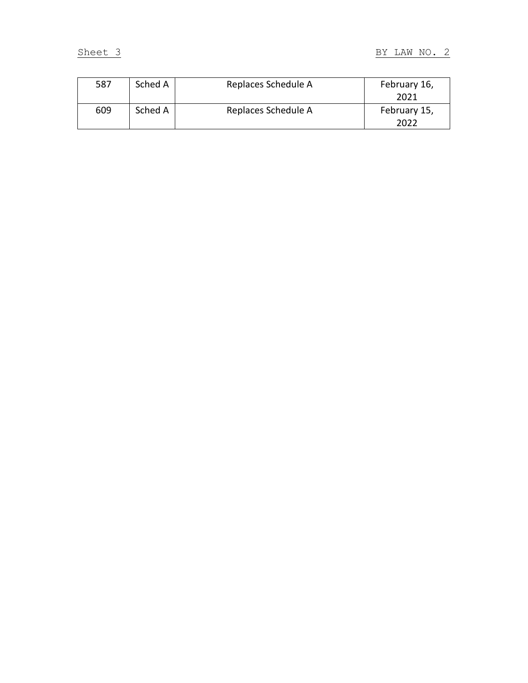| 587 | Sched A | Replaces Schedule A | February 16, |
|-----|---------|---------------------|--------------|
|     |         |                     | 2021         |
| 609 | Sched A | Replaces Schedule A | February 15, |
|     |         |                     | 2022         |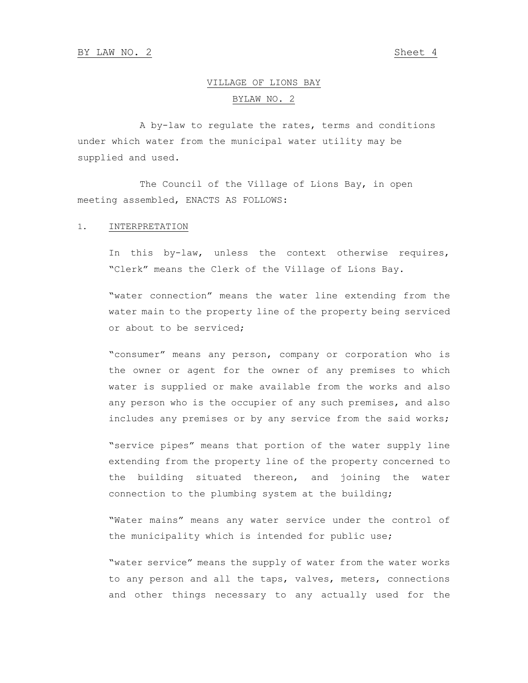## VILLAGE OF LIONS BAY BYLAW NO. 2

A by-law to regulate the rates, terms and conditions under which water from the municipal water utility may be supplied and used.

The Council of the Village of Lions Bay, in open meeting assembled, ENACTS AS FOLLOWS:

#### 1. INTERPRETATION

In this by-law, unless the context otherwise requires, "Clerk" means the Clerk of the Village of Lions Bay.

"water connection" means the water line extending from the water main to the property line of the property being serviced or about to be serviced;

"consumer" means any person, company or corporation who is the owner or agent for the owner of any premises to which water is supplied or make available from the works and also any person who is the occupier of any such premises, and also includes any premises or by any service from the said works;

"service pipes" means that portion of the water supply line extending from the property line of the property concerned to the building situated thereon, and joining the water connection to the plumbing system at the building;

"Water mains" means any water service under the control of the municipality which is intended for public use;

"water service" means the supply of water from the water works to any person and all the taps, valves, meters, connections and other things necessary to any actually used for the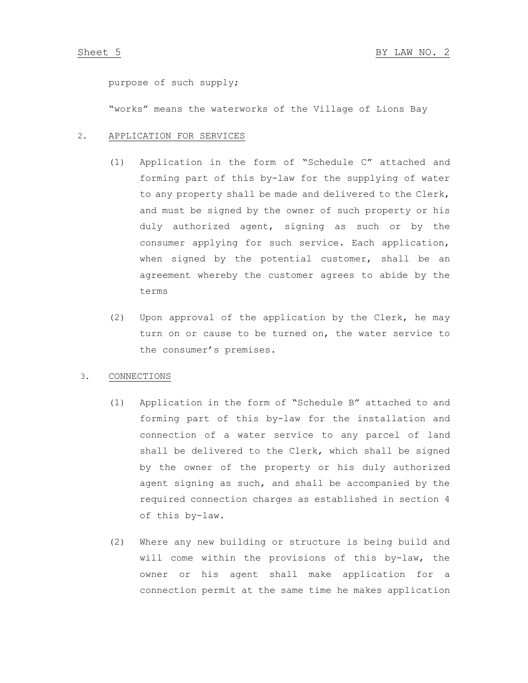purpose of such supply;

"works" means the waterworks of the Village of Lions Bay

#### 2. APPLICATION FOR SERVICES

- (1) Application in the form of "Schedule C" attached and forming part of this by-law for the supplying of water to any property shall be made and delivered to the Clerk, and must be signed by the owner of such property or his duly authorized agent, signing as such or by the consumer applying for such service. Each application, when signed by the potential customer, shall be an agreement whereby the customer agrees to abide by the terms
- (2) Upon approval of the application by the Clerk, he may turn on or cause to be turned on, the water service to the consumer's premises.

### 3. CONNECTIONS

- (1) Application in the form of "Schedule B" attached to and forming part of this by-law for the installation and connection of a water service to any parcel of land shall be delivered to the Clerk, which shall be signed by the owner of the property or his duly authorized agent signing as such, and shall be accompanied by the required connection charges as established in section 4 of this by-law.
- (2) Where any new building or structure is being build and will come within the provisions of this by-law, the owner or his agent shall make application for a connection permit at the same time he makes application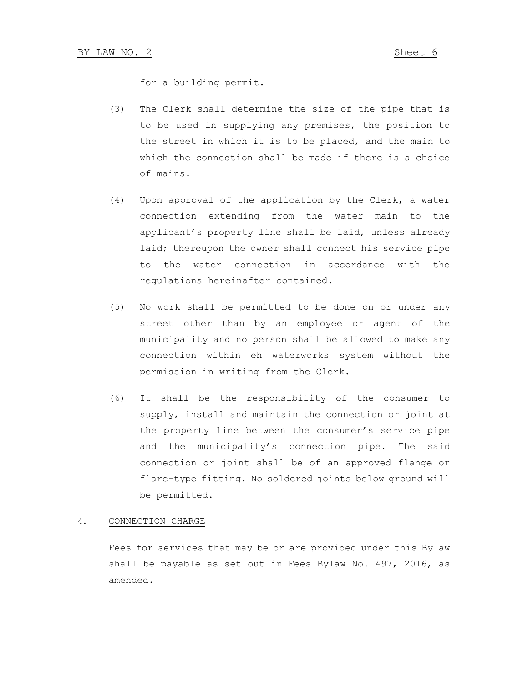for a building permit.

- (3) The Clerk shall determine the size of the pipe that is to be used in supplying any premises, the position to the street in which it is to be placed, and the main to which the connection shall be made if there is a choice of mains.
- (4) Upon approval of the application by the Clerk, a water connection extending from the water main to the applicant's property line shall be laid, unless already laid; thereupon the owner shall connect his service pipe to the water connection in accordance with the regulations hereinafter contained.
- (5) No work shall be permitted to be done on or under any street other than by an employee or agent of the municipality and no person shall be allowed to make any connection within eh waterworks system without the permission in writing from the Clerk.
- (6) It shall be the responsibility of the consumer to supply, install and maintain the connection or joint at the property line between the consumer's service pipe and the municipality's connection pipe. The said connection or joint shall be of an approved flange or flare-type fitting. No soldered joints below ground will be permitted.

#### 4. CONNECTION CHARGE

Fees for services that may be or are provided under this Bylaw shall be payable as set out in Fees Bylaw No. 497, 2016, as amended.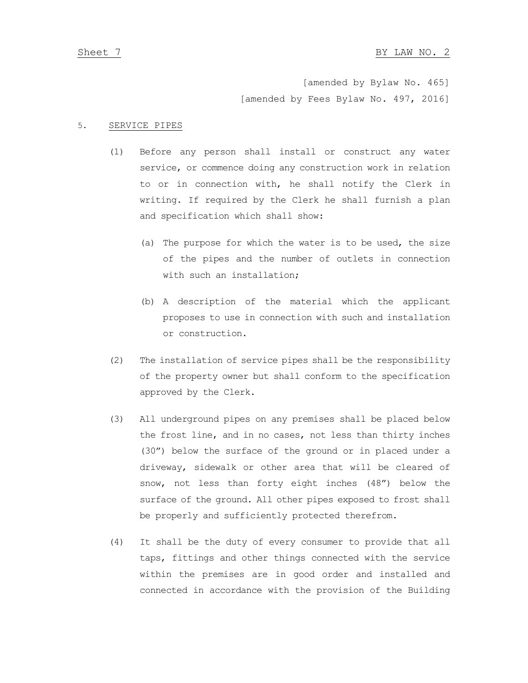[amended by Bylaw No. 465] [amended by Fees Bylaw No. 497, 2016]

#### 5. SERVICE PIPES

- (1) Before any person shall install or construct any water service, or commence doing any construction work in relation to or in connection with, he shall notify the Clerk in writing. If required by the Clerk he shall furnish a plan and specification which shall show:
	- (a) The purpose for which the water is to be used, the size of the pipes and the number of outlets in connection with such an installation;
	- (b) A description of the material which the applicant proposes to use in connection with such and installation or construction.
- (2) The installation of service pipes shall be the responsibility of the property owner but shall conform to the specification approved by the Clerk.
- (3) All underground pipes on any premises shall be placed below the frost line, and in no cases, not less than thirty inches (30") below the surface of the ground or in placed under a driveway, sidewalk or other area that will be cleared of snow, not less than forty eight inches (48") below the surface of the ground. All other pipes exposed to frost shall be properly and sufficiently protected therefrom.
- (4) It shall be the duty of every consumer to provide that all taps, fittings and other things connected with the service within the premises are in good order and installed and connected in accordance with the provision of the Building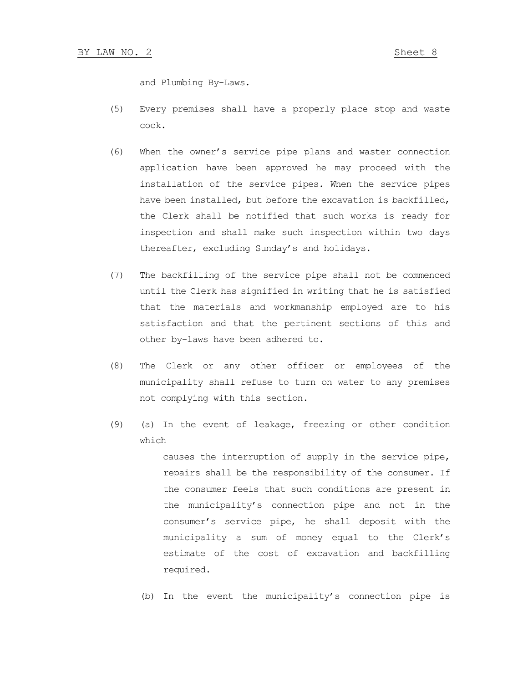and Plumbing By-Laws.

- (5) Every premises shall have a properly place stop and waste cock.
- (6) When the owner's service pipe plans and waster connection application have been approved he may proceed with the installation of the service pipes. When the service pipes have been installed, but before the excavation is backfilled, the Clerk shall be notified that such works is ready for inspection and shall make such inspection within two days thereafter, excluding Sunday's and holidays.
- (7) The backfilling of the service pipe shall not be commenced until the Clerk has signified in writing that he is satisfied that the materials and workmanship employed are to his satisfaction and that the pertinent sections of this and other by-laws have been adhered to.
- (8) The Clerk or any other officer or employees of the municipality shall refuse to turn on water to any premises not complying with this section.
- (9) (a) In the event of leakage, freezing or other condition which

causes the interruption of supply in the service pipe, repairs shall be the responsibility of the consumer. If the consumer feels that such conditions are present in the municipality's connection pipe and not in the consumer's service pipe, he shall deposit with the municipality a sum of money equal to the Clerk's estimate of the cost of excavation and backfilling required.

(b) In the event the municipality's connection pipe is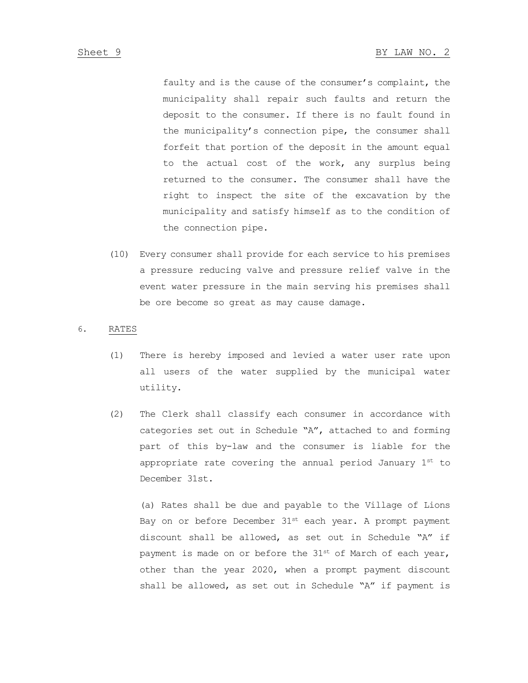faulty and is the cause of the consumer's complaint, the municipality shall repair such faults and return the deposit to the consumer. If there is no fault found in the municipality's connection pipe, the consumer shall forfeit that portion of the deposit in the amount equal to the actual cost of the work, any surplus being returned to the consumer. The consumer shall have the right to inspect the site of the excavation by the municipality and satisfy himself as to the condition of the connection pipe.

(10) Every consumer shall provide for each service to his premises a pressure reducing valve and pressure relief valve in the event water pressure in the main serving his premises shall be ore become so great as may cause damage.

#### 6. RATES

- (1) There is hereby imposed and levied a water user rate upon all users of the water supplied by the municipal water utility.
- (2) The Clerk shall classify each consumer in accordance with categories set out in Schedule "A", attached to and forming part of this by-law and the consumer is liable for the appropriate rate covering the annual period January 1st to December 31st.

(a) Rates shall be due and payable to the Village of Lions Bay on or before December  $31^{st}$  each year. A prompt payment discount shall be allowed, as set out in Schedule "A" if payment is made on or before the  $31^{st}$  of March of each year, other than the year 2020, when a prompt payment discount shall be allowed, as set out in Schedule "A" if payment is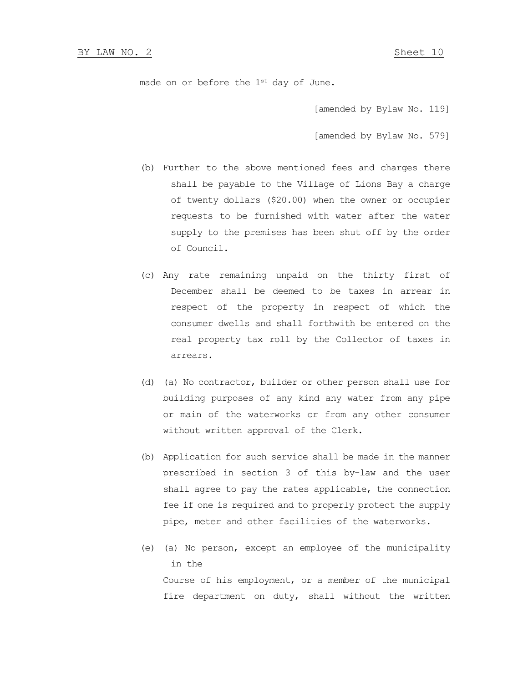made on or before the  $1^{st}$  day of June.

[amended by Bylaw No. 119]

[amended by Bylaw No. 579]

- (b) Further to the above mentioned fees and charges there shall be payable to the Village of Lions Bay a charge of twenty dollars (\$20.00) when the owner or occupier requests to be furnished with water after the water supply to the premises has been shut off by the order of Council.
- (c) Any rate remaining unpaid on the thirty first of December shall be deemed to be taxes in arrear in respect of the property in respect of which the consumer dwells and shall forthwith be entered on the real property tax roll by the Collector of taxes in arrears.
- (d) (a) No contractor, builder or other person shall use for building purposes of any kind any water from any pipe or main of the waterworks or from any other consumer without written approval of the Clerk.
- (b) Application for such service shall be made in the manner prescribed in section 3 of this by-law and the user shall agree to pay the rates applicable, the connection fee if one is required and to properly protect the supply pipe, meter and other facilities of the waterworks.
- (e) (a) No person, except an employee of the municipality in the Course of his employment, or a member of the municipal fire department on duty, shall without the written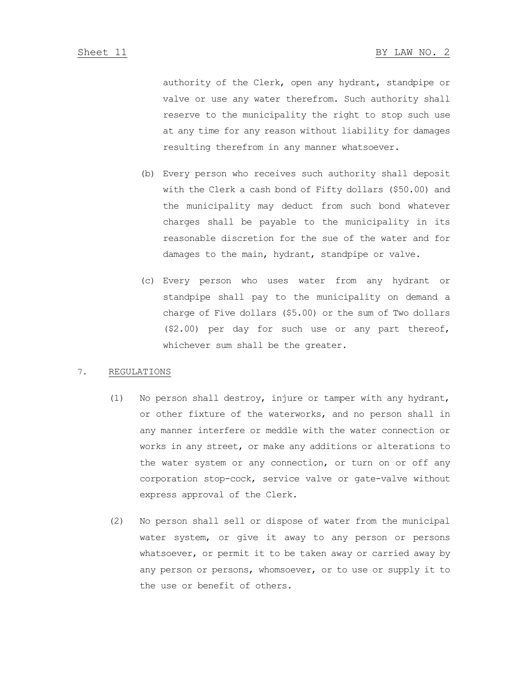authority of the Clerk, open any hydrant, standpipe or valve or use any water therefrom. Such authority shall reserve to the municipality the right to stop such use at any time for any reason without liability for damages resulting therefrom in any manner whatsoever.

- (b) Every person who receives such authority shall deposit with the Clerk a cash bond of Fifty dollars (\$50.00) and the municipality may deduct from such bond whatever charges shall be payable to the municipality in its reasonable discretion for the sue of the water and for damages to the main, hydrant, standpipe or valve.
- (c) Every person who uses water from any hydrant or standpipe shall pay to the municipality on demand a charge of Five dollars (\$5.00) or the sum of Two dollars (\$2.00) per day for such use or any part thereof, whichever sum shall be the greater.

#### 7. REGULATIONS

- (1) No person shall destroy, injure or tamper with any hydrant, or other fixture of the waterworks, and no person shall in any manner interfere or meddle with the water connection or works in any street, or make any additions or alterations to the water system or any connection, or turn on or off any corporation stop-cock, service valve or gate-valve without express approval of the Clerk.
- (2) No person shall sell or dispose of water from the municipal water system, or give it away to any person or persons whatsoever, or permit it to be taken away or carried away by any person or persons, whomsoever, or to use or supply it to the use or benefit of others.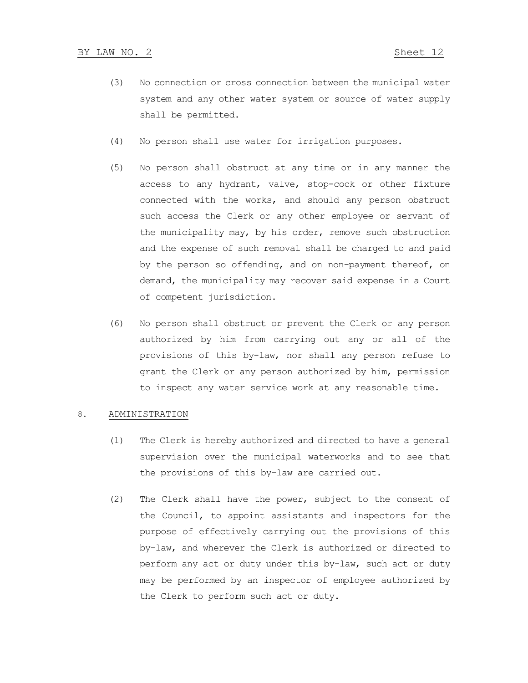- (3) No connection or cross connection between the municipal water system and any other water system or source of water supply shall be permitted.
- (4) No person shall use water for irrigation purposes.
- (5) No person shall obstruct at any time or in any manner the access to any hydrant, valve, stop-cock or other fixture connected with the works, and should any person obstruct such access the Clerk or any other employee or servant of the municipality may, by his order, remove such obstruction and the expense of such removal shall be charged to and paid by the person so offending, and on non-payment thereof, on demand, the municipality may recover said expense in a Court of competent jurisdiction.
- (6) No person shall obstruct or prevent the Clerk or any person authorized by him from carrying out any or all of the provisions of this by-law, nor shall any person refuse to grant the Clerk or any person authorized by him, permission to inspect any water service work at any reasonable time.

#### 8. ADMINISTRATION

- (1) The Clerk is hereby authorized and directed to have a general supervision over the municipal waterworks and to see that the provisions of this by-law are carried out.
- (2) The Clerk shall have the power, subject to the consent of the Council, to appoint assistants and inspectors for the purpose of effectively carrying out the provisions of this by-law, and wherever the Clerk is authorized or directed to perform any act or duty under this by-law, such act or duty may be performed by an inspector of employee authorized by the Clerk to perform such act or duty.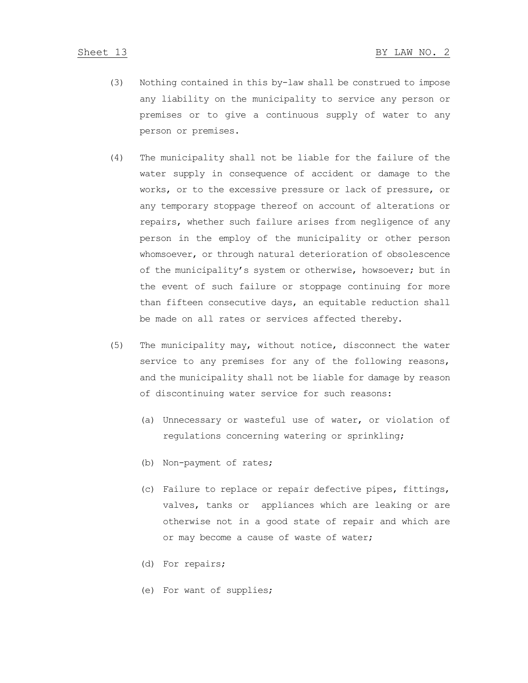- (3) Nothing contained in this by-law shall be construed to impose any liability on the municipality to service any person or premises or to give a continuous supply of water to any person or premises.
- (4) The municipality shall not be liable for the failure of the water supply in consequence of accident or damage to the works, or to the excessive pressure or lack of pressure, or any temporary stoppage thereof on account of alterations or repairs, whether such failure arises from negligence of any person in the employ of the municipality or other person whomsoever, or through natural deterioration of obsolescence of the municipality's system or otherwise, howsoever; but in the event of such failure or stoppage continuing for more than fifteen consecutive days, an equitable reduction shall be made on all rates or services affected thereby.
- (5) The municipality may, without notice, disconnect the water service to any premises for any of the following reasons, and the municipality shall not be liable for damage by reason of discontinuing water service for such reasons:
	- (a) Unnecessary or wasteful use of water, or violation of regulations concerning watering or sprinkling;
	- (b) Non-payment of rates;
	- (c) Failure to replace or repair defective pipes, fittings, valves, tanks or appliances which are leaking or are otherwise not in a good state of repair and which are or may become a cause of waste of water;
	- (d) For repairs;
	- (e) For want of supplies;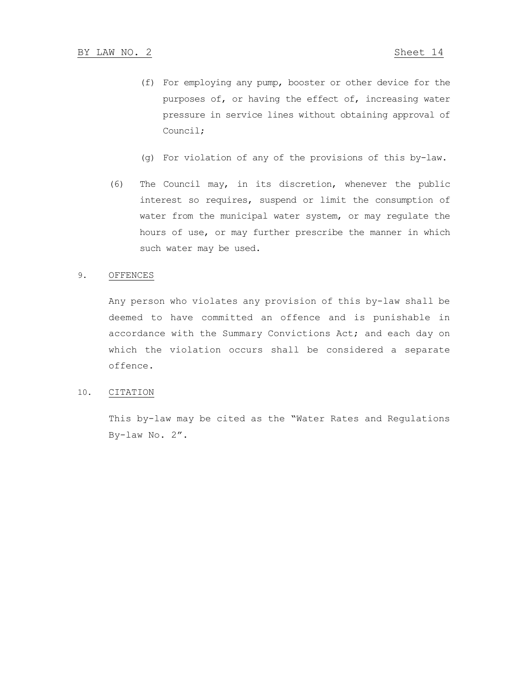- (f) For employing any pump, booster or other device for the purposes of, or having the effect of, increasing water pressure in service lines without obtaining approval of Council;
- (g) For violation of any of the provisions of this by-law.
- (6) The Council may, in its discretion, whenever the public interest so requires, suspend or limit the consumption of water from the municipal water system, or may regulate the hours of use, or may further prescribe the manner in which such water may be used.

#### 9. OFFENCES

Any person who violates any provision of this by-law shall be deemed to have committed an offence and is punishable in accordance with the Summary Convictions Act; and each day on which the violation occurs shall be considered a separate offence.

#### 10. CITATION

This by-law may be cited as the "Water Rates and Regulations By-law No. 2".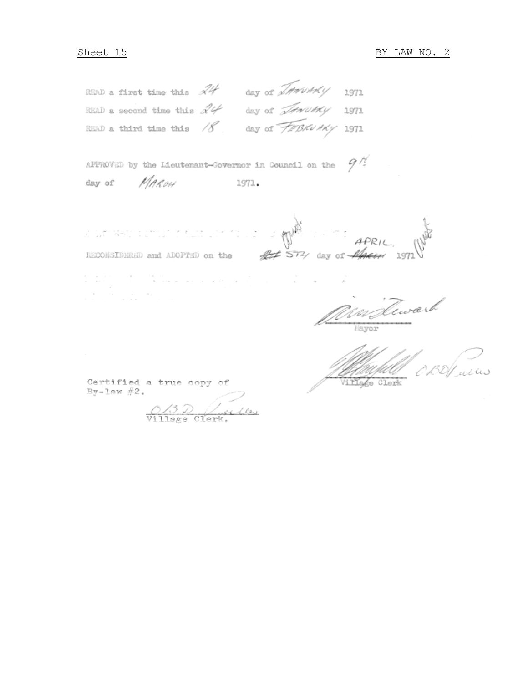READ a first time this  $\mathcal{A}4$  day of *IMMUMMY* 1971 READ a first time this  $\mathcal{A}\mathcal{A}$  day of *MANTRY* 1971<br>READ a second time this  $\mathcal{A}\mathcal{A}$  day of *MANTRY* 1971<br>READ a third time this  $\mathcal{A}$  day of *TIBRUHRY* 1971

|        |       | APPROVED by the Lieutenant-Governor in Council on the $94$ |  |
|--------|-------|------------------------------------------------------------|--|
| day of | MAROH | 1971.                                                      |  |

APRIL fit 514 day of 1/4 RECONSIDERED and ADOPTED on the

 $\mathcal{L}^{\text{max}}_{\text{max}}$  , where  $\mathcal{L}^{\text{max}}_{\text{max}}$ 

MarTewark Mayor

ma Hillage Clerk

Certified a true copy of  $By-law#2.$ 

rim formula a a soci

ar Albachi

0/3 Duelles